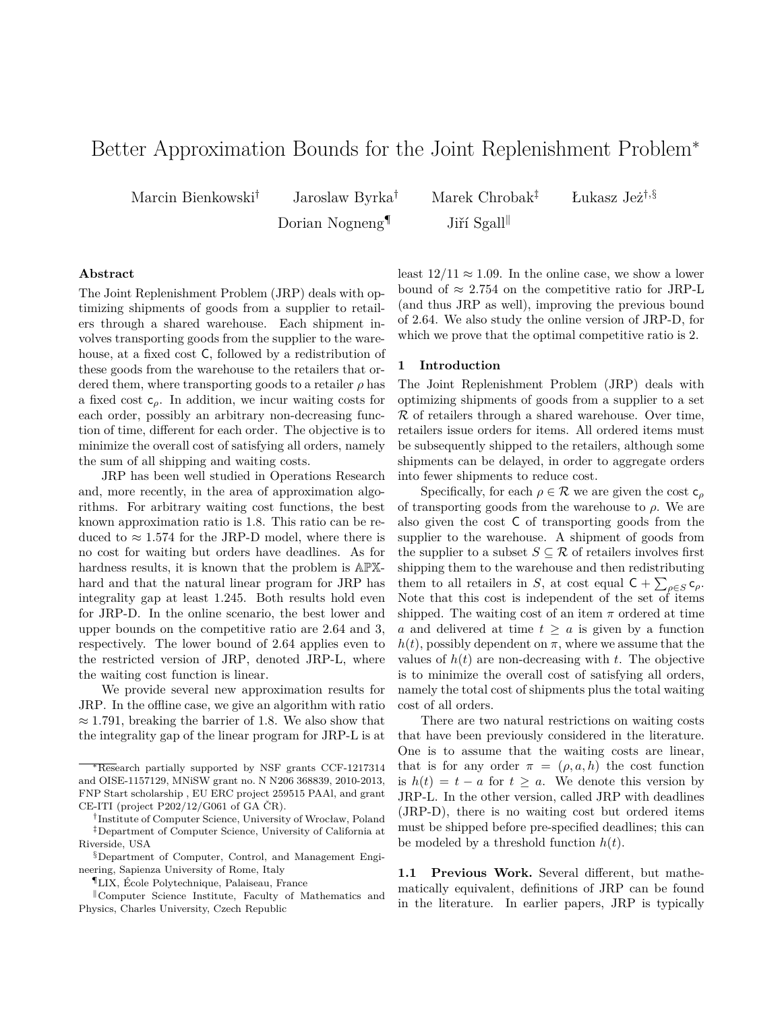# Better Approximation Bounds for the Joint Replenishment Problem<sup>∗</sup>

Dorian Nogneng<sup>¶</sup> Jiří Sgall

Marcin Bienkowski† Jaroslaw Byrka† Marek Chrobak‡ Łukasz Jeż†*,*§

# **Abstract**

The Joint Replenishment Problem (JRP) deals with optimizing shipments of goods from a supplier to retailers through a shared warehouse. Each shipment involves transporting goods from the supplier to the warehouse, at a fixed cost C, followed by a redistribution of these goods from the warehouse to the retailers that ordered them, where transporting goods to a retailer  $\rho$  has a fixed cost c*ρ*. In addition, we incur waiting costs for each order, possibly an arbitrary non-decreasing function of time, different for each order. The objective is to minimize the overall cost of satisfying all orders, namely the sum of all shipping and waiting costs.

JRP has been well studied in Operations Research and, more recently, in the area of approximation algorithms. For arbitrary waiting cost functions, the best known approximation ratio is 1*.*8. This ratio can be reduced to  $\approx 1.574$  for the JRP-D model, where there is no cost for waiting but orders have deadlines. As for hardness results, it is known that the problem is APXhard and that the natural linear program for JRP has integrality gap at least 1*.*245. Both results hold even for JRP-D. In the online scenario, the best lower and upper bounds on the competitive ratio are 2*.*64 and 3, respectively. The lower bound of 2*.*64 applies even to the restricted version of JRP, denoted JRP-L, where the waiting cost function is linear.

We provide several new approximation results for JRP. In the offline case, we give an algorithm with ratio ≈ 1*.*791, breaking the barrier of 1*.*8. We also show that the integrality gap of the linear program for JRP-L is at least  $12/11 \approx 1.09$ . In the online case, we show a lower bound of  $\approx 2.754$  on the competitive ratio for JRP-L (and thus JRP as well), improving the previous bound of 2*.*64. We also study the online version of JRP-D, for which we prove that the optimal competitive ratio is 2.

## **1 Introduction**

The Joint Replenishment Problem (JRP) deals with optimizing shipments of goods from a supplier to a set  $R$  of retailers through a shared warehouse. Over time, retailers issue orders for items. All ordered items must be subsequently shipped to the retailers, although some shipments can be delayed, in order to aggregate orders into fewer shipments to reduce cost.

Specifically, for each  $\rho \in \mathcal{R}$  we are given the cost  $c_{\rho}$ of transporting goods from the warehouse to  $\rho$ . We are also given the cost C of transporting goods from the supplier to the warehouse. A shipment of goods from the supplier to a subset  $S \subseteq \mathcal{R}$  of retailers involves first shipping them to the warehouse and then redistributing them to all retailers in *S*, at cost equal  $C + \sum_{\rho \in S} c_{\rho}$ . Note that this cost is independent of the set of items shipped. The waiting cost of an item  $\pi$  ordered at time *a* and delivered at time  $t \geq a$  is given by a function  $h(t)$ , possibly dependent on  $\pi$ , where we assume that the values of  $h(t)$  are non-decreasing with  $t$ . The objective is to minimize the overall cost of satisfying all orders, namely the total cost of shipments plus the total waiting cost of all orders.

There are two natural restrictions on waiting costs that have been previously considered in the literature. One is to assume that the waiting costs are linear, that is for any order  $\pi = (\rho, a, h)$  the cost function is  $h(t) = t - a$  for  $t \geq a$ . We denote this version by JRP-L. In the other version, called JRP with deadlines (JRP-D), there is no waiting cost but ordered items must be shipped before pre-specified deadlines; this can be modeled by a threshold function  $h(t)$ .

**1.1 Previous Work.** Several different, but mathematically equivalent, definitions of JRP can be found in the literature. In earlier papers, JRP is typically

<sup>∗</sup>Research partially supported by NSF grants CCF-1217314 and OISE-1157129, MNiSW grant no. N N206 368839, 2010-2013, FNP Start scholarship , EU ERC project 259515 PAAl, and grant CE-ITI (project P202/12/G061 of GA ČR).

<sup>†</sup> Institute of Computer Science, University of Wrocław, Poland ‡Department of Computer Science, University of California at Riverside, USA

<sup>§</sup>Department of Computer, Control, and Management Engineering, Sapienza University of Rome, Italy

<sup>¶</sup>LIX, École Polytechnique, Palaiseau, France

Computer Science Institute, Faculty of Mathematics and Physics, Charles University, Czech Republic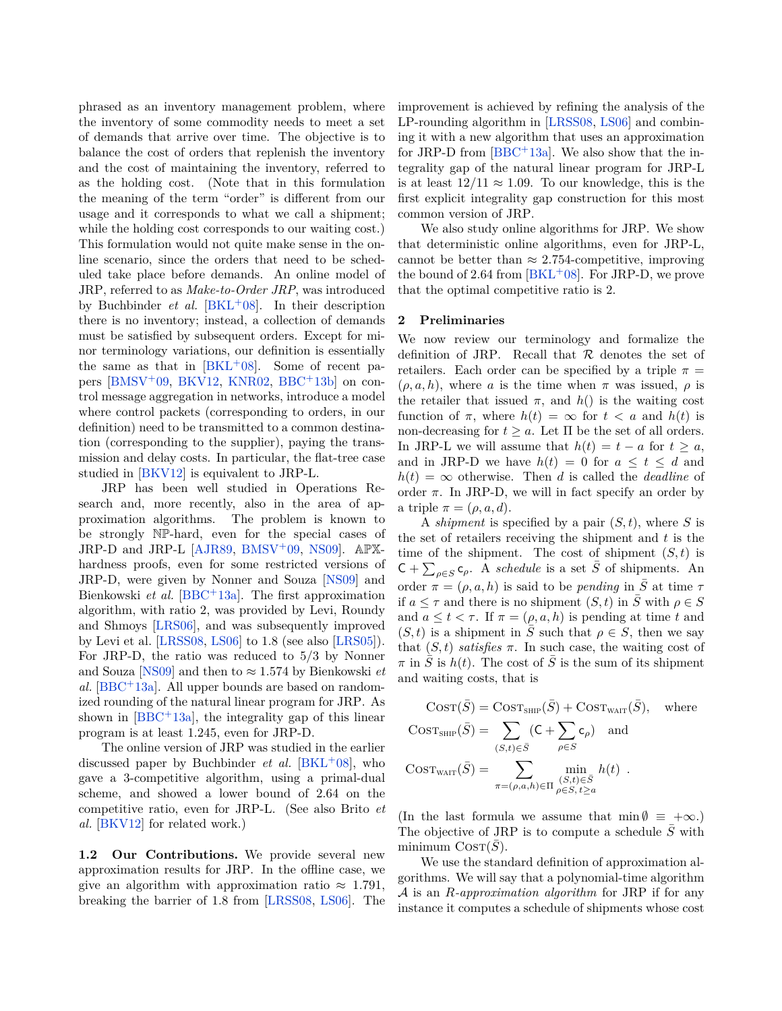phrased as an inventory management problem, where the inventory of some commodity needs to meet a set of demands that arrive over time. The objective is to balance the cost of orders that replenish the inventory and the cost of maintaining the inventory, referred to as the holding cost. (Note that in this formulation the meaning of the term "order" is different from our usage and it corresponds to what we call a shipment; while the holding cost corresponds to our waiting cost.) This formulation would not quite make sense in the online scenario, since the orders that need to be scheduled take place before demands. An online model of JRP, referred to as *Make-to-Order JRP*, was introduced by Buchbinder *et al.* [\[BKL](#page-12-0)<sup>+</sup>08]. In their description there is no inventory; instead, a collection of demands must be satisfied by subsequent orders. Except for minor terminology variations, our definition is essentially the same as that in  $|BKL+08|$ . Some of recent papers  $[BMSV^+09, BKV12, KNR02, BBC^+13b]$  $[BMSV^+09, BKV12, KNR02, BBC^+13b]$  $[BMSV^+09, BKV12, KNR02, BBC^+13b]$  $[BMSV^+09, BKV12, KNR02, BBC^+13b]$  $[BMSV^+09, BKV12, KNR02, BBC^+13b]$  $[BMSV^+09, BKV12, KNR02, BBC^+13b]$  $[BMSV^+09, BKV12, KNR02, BBC^+13b]$  $[BMSV^+09, BKV12, KNR02, BBC^+13b]$  on control message aggregation in networks, introduce a model where control packets (corresponding to orders, in our definition) need to be transmitted to a common destination (corresponding to the supplier), paying the transmission and delay costs. In particular, the flat-tree case studied in [\[BKV12\]](#page-12-2) is equivalent to JRP-L.

JRP has been well studied in Operations Research and, more recently, also in the area of approximation algorithms. The problem is known to be strongly NP-hard, even for the special cases of JRP-D and JRP-L [\[AJR89,](#page-11-1) [BMSV](#page-12-1)<sup>+</sup>09, [NS09\]](#page-12-4). APXhardness proofs, even for some restricted versions of JRP-D, were given by Nonner and Souza [\[NS09\]](#page-12-4) and Bienkowski *et al.* [\[BBC](#page-11-2)<sup>+</sup>13a]. The first approximation algorithm, with ratio 2, was provided by Levi, Roundy and Shmoys [\[LRS06\]](#page-12-5), and was subsequently improved by Levi et al. [\[LRSS08,](#page-12-6) [LS06\]](#page-12-7) to 1*.*8 (see also [\[LRS05\]](#page-12-8)). For JRP-D, the ratio was reduced to 5*/*3 by Nonner and Souza [\[NS09\]](#page-12-4) and then to  $\approx 1.574$  by Bienkowski *et al.* [\[BBC](#page-11-2)<sup>+</sup>13a]. All upper bounds are based on randomized rounding of the natural linear program for JRP. As shown in  $[BBC + 13a]$  $[BBC + 13a]$ , the integrality gap of this linear program is at least 1*.*245, even for JRP-D.

The online version of JRP was studied in the earlier discussed paper by Buchbinder *et al.* [\[BKL](#page-12-0)<sup>+</sup>08], who gave a 3-competitive algorithm, using a primal-dual scheme, and showed a lower bound of 2*.*64 on the competitive ratio, even for JRP-L. (See also Brito *et al.* [\[BKV12\]](#page-12-2) for related work.)

**1.2 Our Contributions.** We provide several new approximation results for JRP. In the offline case, we give an algorithm with approximation ratio  $\approx 1.791$ , breaking the barrier of 1*.*8 from [\[LRSS08,](#page-12-6) [LS06\]](#page-12-7). The improvement is achieved by refining the analysis of the LP-rounding algorithm in [\[LRSS08,](#page-12-6) [LS06\]](#page-12-7) and combining it with a new algorithm that uses an approximation for JRP-D from  $[BBC + 13a]$  $[BBC + 13a]$ . We also show that the integrality gap of the natural linear program for JRP-L is at least  $12/11 \approx 1.09$ . To our knowledge, this is the first explicit integrality gap construction for this most common version of JRP.

We also study online algorithms for JRP. We show that deterministic online algorithms, even for JRP-L, cannot be better than  $\approx 2.754$ -competitive, improving the bound of 2.64 from  $[BKL+08]$  $[BKL+08]$ . For JRP-D, we prove that the optimal competitive ratio is 2.

# **2 Preliminaries**

We now review our terminology and formalize the definition of JRP. Recall that  $R$  denotes the set of retailers. Each order can be specified by a triple  $\pi$  =  $(\rho, a, h)$ , where *a* is the time when  $\pi$  was issued,  $\rho$  is the retailer that issued  $\pi$ , and  $h()$  is the waiting cost function of  $\pi$ , where  $h(t) = \infty$  for  $t < a$  and  $h(t)$  is non-decreasing for  $t \geq a$ . Let  $\Pi$  be the set of all orders. In JRP-L we will assume that  $h(t) = t - a$  for  $t \geq a$ , and in JRP-D we have  $h(t) = 0$  for  $a \leq t \leq d$  and  $h(t) = \infty$  otherwise. Then *d* is called the *deadline* of order  $\pi$ . In JRP-D, we will in fact specify an order by a triple  $\pi = (\rho, a, d)$ .

A *shipment* is specified by a pair (*S, t*), where *S* is the set of retailers receiving the shipment and *t* is the time of the shipment. The cost of shipment  $(S, t)$  is  $C + \sum_{\rho \in S} c_{\rho}$ . A *schedule* is a set  $\overline{S}$  of shipments. An order  $\pi = (\rho, a, h)$  is said to be *pending* in  $\overline{S}$  at time  $\tau$ if  $a \leq \tau$  and there is no shipment  $(S, t)$  in  $\overline{S}$  with  $\rho \in S$ and  $a \leq t < \tau$ . If  $\pi = (\rho, a, h)$  is pending at time *t* and  $(S, t)$  is a shipment in *S* such that  $\rho \in S$ , then we say that  $(S, t)$  *satisfies*  $\pi$ . In such case, the waiting cost of  $\pi$  in *S* is  $h(t)$ . The cost of *S* is the sum of its shipment and waiting costs, that is

$$
COST(\bar{S}) = Cost_{SHIP}(\bar{S}) + Cost_{WAIT}(\bar{S}), where
$$
  
\n
$$
COST_{SHIP}(\bar{S}) = \sum_{(S,t) \in \bar{S}} (C + \sum_{\rho \in S} c_{\rho}) and
$$
  
\n
$$
COST_{WAIT}(\bar{S}) = \sum_{\pi = (\rho, a, h) \in \Pi} \min_{\rho \in S, t \ge a} h(t).
$$

(In the last formula we assume that  $\min \emptyset \equiv +\infty$ .) The objective of JRP is to compute a schedule *S*¯ with minimum  $\text{Cosr}(S)$ .

We use the standard definition of approximation algorithms. We will say that a polynomial-time algorithm A is an *R-approximation algorithm* for JRP if for any instance it computes a schedule of shipments whose cost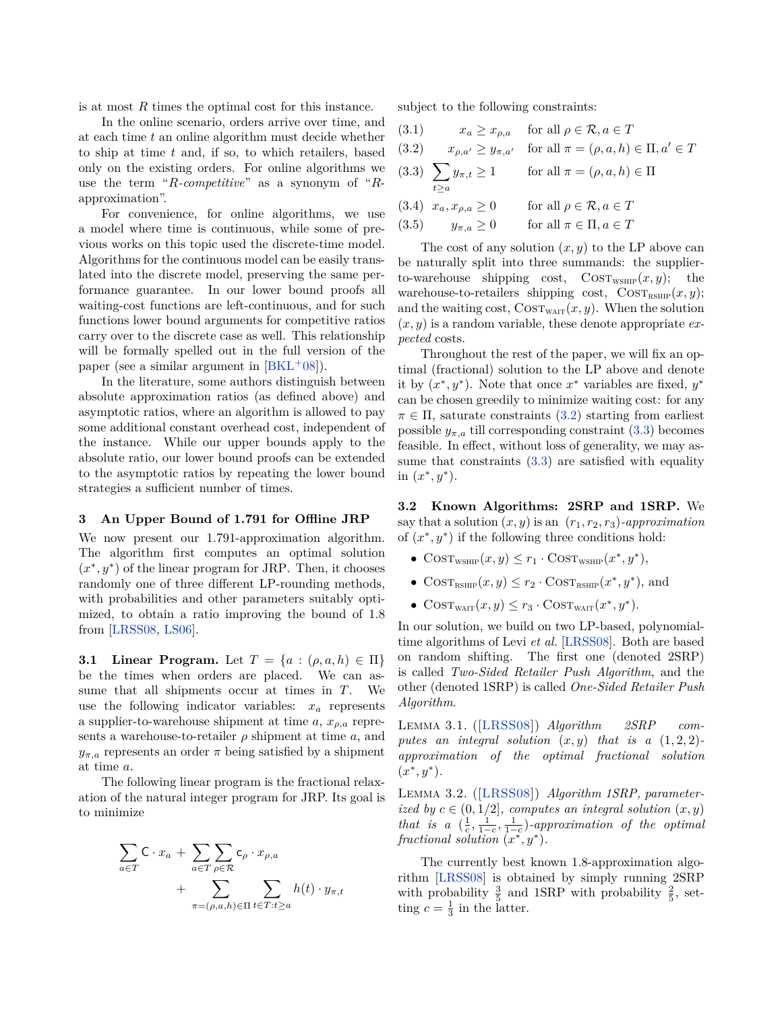is at most *R* times the optimal cost for this instance.

In the online scenario, orders arrive over time, and at each time *t* an online algorithm must decide whether to ship at time *t* and, if so, to which retailers, based only on the existing orders. For online algorithms we use the term "*R-competitive*" as a synonym of "*R*approximation".

For convenience, for online algorithms, we use a model where time is continuous, while some of previous works on this topic used the discrete-time model. Algorithms for the continuous model can be easily translated into the discrete model, preserving the same performance guarantee. In our lower bound proofs all waiting-cost functions are left-continuous, and for such functions lower bound arguments for competitive ratios carry over to the discrete case as well. This relationship will be formally spelled out in the full version of the paper (see a similar argument in  $[BKL+08]$  $[BKL+08]$ ).

In the literature, some authors distinguish between absolute approximation ratios (as defined above) and asymptotic ratios, where an algorithm is allowed to pay some additional constant overhead cost, independent of the instance. While our upper bounds apply to the absolute ratio, our lower bound proofs can be extended to the asymptotic ratios by repeating the lower bound strategies a sufficient number of times.

#### **3 An Upper Bound of 1.791 for Offline JRP**

We now present our 1*.*791-approximation algorithm. The algorithm first computes an optimal solution  $(x^*, y^*)$  of the linear program for JRP. Then, it chooses randomly one of three different LP-rounding methods, with probabilities and other parameters suitably optimized, to obtain a ratio improving the bound of 1*.*8 from [\[LRSS08,](#page-12-6) [LS06\]](#page-12-7).

<span id="page-2-3"></span>**3.1 Linear Program.** Let  $T = \{a : (\rho, a, h) \in \Pi\}$ be the times when orders are placed. We can assume that all shipments occur at times in *T*. We use the following indicator variables: *x<sup>a</sup>* represents a supplier-to-warehouse shipment at time  $a, x_{\rho,a}$  represents a warehouse-to-retailer  $\rho$  shipment at time  $a$ , and  $y_{\pi,a}$  represents an order  $\pi$  being satisfied by a shipment at time *a*.

The following linear program is the fractional relaxation of the natural integer program for JRP. Its goal is to minimize

$$
\sum_{a \in T} \mathsf{C} \cdot x_a + \sum_{a \in T} \sum_{\rho \in \mathcal{R}} \mathsf{c}_{\rho} \cdot x_{\rho, a} + \sum_{\pi = (\rho, a, h) \in \Pi} \sum_{t \in T : t \ge a} h(t) \cdot y_{\pi, t}
$$

subject to the following constraints:

<span id="page-2-1"></span><span id="page-2-0"></span>(3.1) 
$$
x_a \ge x_{\rho,a}
$$
 for all  $\rho \in \mathcal{R}, a \in T$   
\n(3.2)  $x_{\rho,a'} \ge y_{\pi,a'}$  for all  $\pi = (\rho, a, h) \in \Pi, a' \in T$   
\n(3.3)  $\sum_{t \ge a} y_{\pi,t} \ge 1$  for all  $\pi = (\rho, a, h) \in \Pi$   
\n(3.4)  $x_a, x_{\rho,a} \ge 0$  for all  $\rho \in \mathcal{R}, a \in T$   
\n(3.5)  $y_{\pi,a} \ge 0$  for all  $\pi \in \Pi, a \in T$ 

The cost of any solution (*x, y*) to the LP above can be naturally split into three summands: the supplierto-warehouse shipping cost,  $\text{COST}_{\text{WSHIP}}(x, y)$ ; the warehouse-to-retailers shipping cost,  $\text{COST}_{\text{RSHIP}}(x, y)$ ; and the waiting cost,  $\text{COST}_{\text{WAIT}}(x, y)$ . When the solution (*x, y*) is a random variable, these denote appropriate *expected* costs.

Throughout the rest of the paper, we will fix an optimal (fractional) solution to the LP above and denote it by  $(x^*, y^*)$ . Note that once  $x^*$  variables are fixed,  $y^*$ can be chosen greedily to minimize waiting cost: for any  $\pi \in \Pi$ , saturate constraints [\(3.2\)](#page-2-0) starting from earliest possible  $y_{\pi,a}$  till corresponding constraint  $(3.3)$  becomes feasible. In effect, without loss of generality, we may assume that constraints  $(3.3)$  are satisfied with equality in  $(x^*, y^*)$ .

**3.2 Known Algorithms: 2SRP and 1SRP.** We say that a solution  $(x, y)$  is an  $(r_1, r_2, r_3)$ *-approximation* of  $(x^*, y^*)$  if the following three conditions hold:

- $\text{COST}_{\text{WSHIP}}(x, y) \leq r_1 \cdot \text{COST}_{\text{WSHIP}}(x^*, y^*),$
- $\text{COST}_{\text{RSHIP}}(x, y) \leq r_2 \cdot \text{COST}_{\text{RSHIP}}(x^*, y^*)$ , and
- $\text{COST}_{\text{WAIT}}(x, y) \leq r_3 \cdot \text{COST}_{\text{WAIT}}(x^*, y^*).$

In our solution, we build on two LP-based, polynomialtime algorithms of Levi *et al.* [\[LRSS08\]](#page-12-6). Both are based on random shifting. The first one (denoted 2SRP) is called *Two-Sided Retailer Push Algorithm*, and the other (denoted 1SRP) is called *One-Sided Retailer Push Algorithm*.

Lemma 3.1. ([\[LRSS08\]](#page-12-6)) *Algorithm 2SRP computes an integral solution*  $(x, y)$  *that is a*  $(1, 2, 2)$ *approximation of the optimal fractional solution*  $(x^*, y^*).$ 

<span id="page-2-2"></span>Lemma 3.2. ([\[LRSS08\]](#page-12-6)) *Algorithm 1SRP, parameterized by*  $c \in (0, 1/2]$ *, computes an integral solution*  $(x, y)$ *that is a*  $(\frac{1}{c}, \frac{1}{1-c}, \frac{1}{1-c})$ *-approximation of the optimal*  $fractional solution (x^*, y^*)$ .

The currently best known 1*.*8-approximation algorithm [\[LRSS08\]](#page-12-6) is obtained by simply running 2SRP with probability  $\frac{3}{5}$  and 1SRP with probability  $\frac{2}{5}$ , setting  $c = \frac{1}{3}$  in the latter.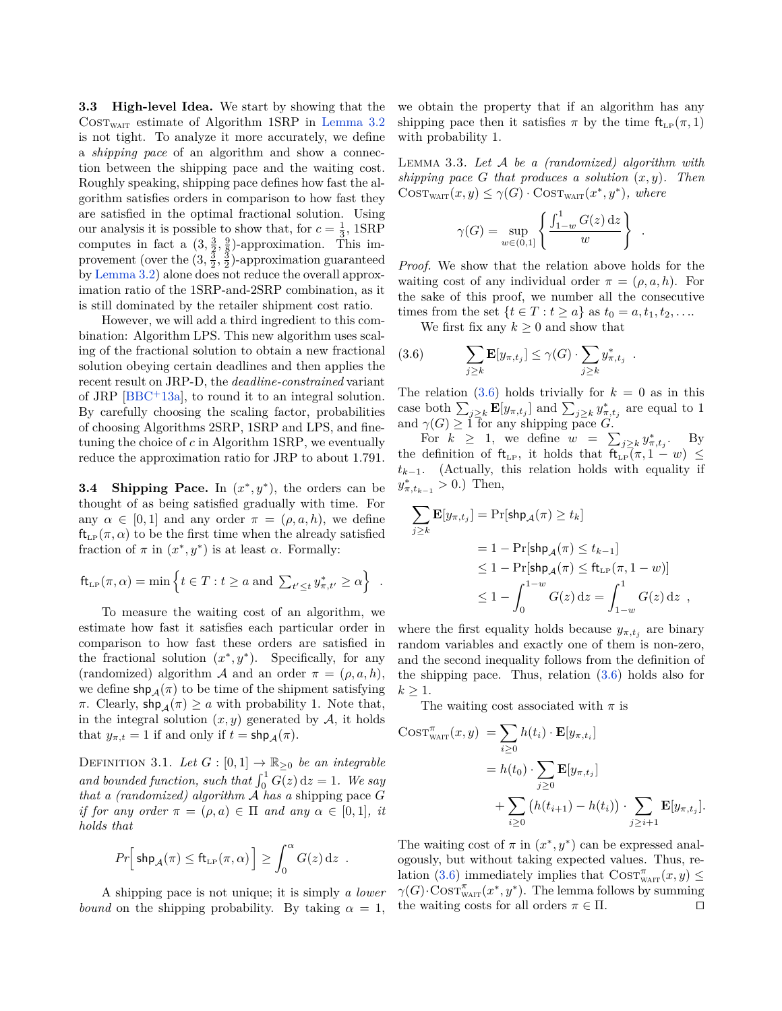**3.3 High-level Idea.** We start by showing that the  $\text{COST}_{\text{WAIT}}$  estimate of Algorithm 1SRP in [Lemma 3.2](#page-2-2) is not tight. To analyze it more accurately, we define a *shipping pace* of an algorithm and show a connection between the shipping pace and the waiting cost. Roughly speaking, shipping pace defines how fast the algorithm satisfies orders in comparison to how fast they are satisfied in the optimal fractional solution. Using our analysis it is possible to show that, for  $c = \frac{1}{3}$ , 1SRP computes in fact a  $\left(3, \frac{3}{2}, \frac{9}{8}\right)$ -approximation. This improvement (over the  $(3, \frac{3}{2}, \frac{3}{2})$ -approximation guaranteed by [Lemma 3.2\)](#page-2-2) alone does not reduce the overall approximation ratio of the 1SRP-and-2SRP combination, as it is still dominated by the retailer shipment cost ratio.

However, we will add a third ingredient to this combination: Algorithm LPS. This new algorithm uses scaling of the fractional solution to obtain a new fractional solution obeying certain deadlines and then applies the recent result on JRP-D, the *deadline-constrained* variant of JRP [\[BBC](#page-11-2)<sup>+</sup>13a], to round it to an integral solution. By carefully choosing the scaling factor, probabilities of choosing Algorithms 2SRP, 1SRP and LPS, and finetuning the choice of *c* in Algorithm 1SRP, we eventually reduce the approximation ratio for JRP to about 1*.*791.

**3.4** Shipping Pace. In  $(x^*, y^*)$ , the orders can be thought of as being satisfied gradually with time. For any  $\alpha \in [0, 1]$  and any order  $\pi = (\rho, a, h)$ , we define  $ft_{LP}(\pi, \alpha)$  to be the first time when the already satisfied fraction of  $\pi$  in  $(x^*, y^*)$  is at least  $\alpha$ . Formally:

$$
\mathrm{ft}_{\mathrm{LP}}(\pi,\alpha) = \min \left\{ t \in T : t \ge a \text{ and } \sum_{t' \le t} y_{\pi,t'}^* \ge \alpha \right\}
$$

*.*

To measure the waiting cost of an algorithm, we estimate how fast it satisfies each particular order in comparison to how fast these orders are satisfied in the fractional solution  $(x^*, y^*)$ . Specifically, for any (randomized) algorithm A and an order  $\pi = (\rho, a, h)$ , we define  $\sinh A(\pi)$  to be time of the shipment satisfying *π*. Clearly,  $\text{shp}_{\mathcal{A}}(\pi) \geq a$  with probability 1. Note that, in the integral solution  $(x, y)$  generated by  $A$ , it holds that  $y_{\pi,t} = 1$  if and only if  $t = \mathsf{shp}_{\mathcal{A}}(\pi)$ .

DEFINITION 3.1. *Let*  $G : [0,1] \to \mathbb{R}_{\geq 0}$  *be an integrable* and bounded function, such that  $\int_0^1 G(z) dz = 1$ . We say *that a (randomized) algorithm* A *has a* shipping pace *G if for any order*  $\pi = (\rho, a) \in \Pi$  *and any*  $\alpha \in [0, 1]$ *, it holds that*

$$
Pr\Big[\,\textsf{shp}_{\mathcal{A}}(\pi)\leq\textsf{ft}_{\textsf{\tiny LP}}(\pi,\alpha)\,\Big]\geq\int_0^\alpha G(z)\,\mathrm{d} z\enspace.
$$

A shipping pace is not unique; it is simply *a lower bound* on the shipping probability. By taking  $\alpha = 1$ , we obtain the property that if an algorithm has any shipping pace then it satisfies  $\pi$  by the time  $\text{ft}_{\text{LP}}(\pi, 1)$ with probability 1.

<span id="page-3-1"></span>Lemma 3.3. *Let* A *be a (randomized) algorithm with shipping pace G that produces a solution* (*x, y*)*. Then*  $\text{COST}_{\text{WAIT}}(x, y) \leq \gamma(G) \cdot \text{COST}_{\text{WAIT}}(x^*, y^*)$ , where

$$
\gamma(G) = \sup_{w \in (0,1]} \left\{ \frac{\int_{1-w}^{1} G(z) \, \mathrm{d}z}{w} \right\}
$$

<span id="page-3-0"></span>*.*

*Proof.* We show that the relation above holds for the waiting cost of any individual order  $\pi = (\rho, a, h)$ . For the sake of this proof, we number all the consecutive times from the set  $\{t \in T : t \ge a\}$  as  $t_0 = a, t_1, t_2, \ldots$ 

We first fix any  $k \geq 0$  and show that

(3.6) 
$$
\sum_{j\geq k} \mathbf{E}[y_{\pi,t_j}] \leq \gamma(G) \cdot \sum_{j\geq k} y_{\pi,t_j}^*.
$$

The relation  $(3.6)$  holds trivially for  $k = 0$  as in this case both  $\sum_{j\geq k} \mathbf{E}[y_{\pi,t_j}]$  and  $\sum_{j\geq k} y_{\pi,t_j}^*$  are equal to 1 and  $\gamma(G) \geq 1$  for any shipping pace *G*.

For  $k \geq 1$ , we define  $w = \sum_{j \geq k} y^*_{\pi, t_j}$ . By the definition of  $f_{LP}$ , it holds that  $f_{LP}(\pi, 1 - w) \leq$  $t_{k-1}$ . (Actually, this relation holds with equality if  $y^*_{\pi,t_{k-1}} > 0$ .) Then,

$$
\sum_{j\geq k} \mathbf{E}[y_{\pi,t_j}] = \Pr[\text{shp}_{\mathcal{A}}(\pi) \geq t_k]
$$
  
= 1 - \Pr[\text{shp}\_{\mathcal{A}}(\pi) \leq t\_{k-1}]  
\leq 1 - \Pr[\text{shp}\_{\mathcal{A}}(\pi) \leq \text{ft}\_{\text{LP}}(\pi, 1 - w)]  
\leq 1 - \int\_0^{1-w} G(z) dz = \int\_{1-w}^1 G(z) dz ,

where the first equality holds because  $y_{\pi, t_j}$  are binary random variables and exactly one of them is non-zero, and the second inequality follows from the definition of the shipping pace. Thus, relation [\(3.6\)](#page-3-0) holds also for  $k \geq 1$ .

The waiting cost associated with *π* is

$$
\begin{aligned} \text{Cosr}_{\text{wAIT}}^{\pi}(x, y) &= \sum_{i \geq 0} h(t_i) \cdot \mathbf{E}[y_{\pi, t_i}] \\ &= h(t_0) \cdot \sum_{j \geq 0} \mathbf{E}[y_{\pi, t_j}] \\ &+ \sum_{i \geq 0} \left( h(t_{i+1}) - h(t_i) \right) \cdot \sum_{j \geq i+1} \mathbf{E}[y_{\pi, t_j}]. \end{aligned}
$$

The waiting cost of  $\pi$  in  $(x^*, y^*)$  can be expressed analogously, but without taking expected values. Thus, re-lation [\(3.6\)](#page-3-0) immediately implies that  $\text{Cosr}^{\pi}_{\text{warr}}(x, y) \leq$  $\gamma(G) \cdot \text{Cosr}_{\text{WAIT}}^{\pi}(x^*, y^*)$ . The lemma follows by summing the waiting costs for all orders  $\pi \in \Pi$ .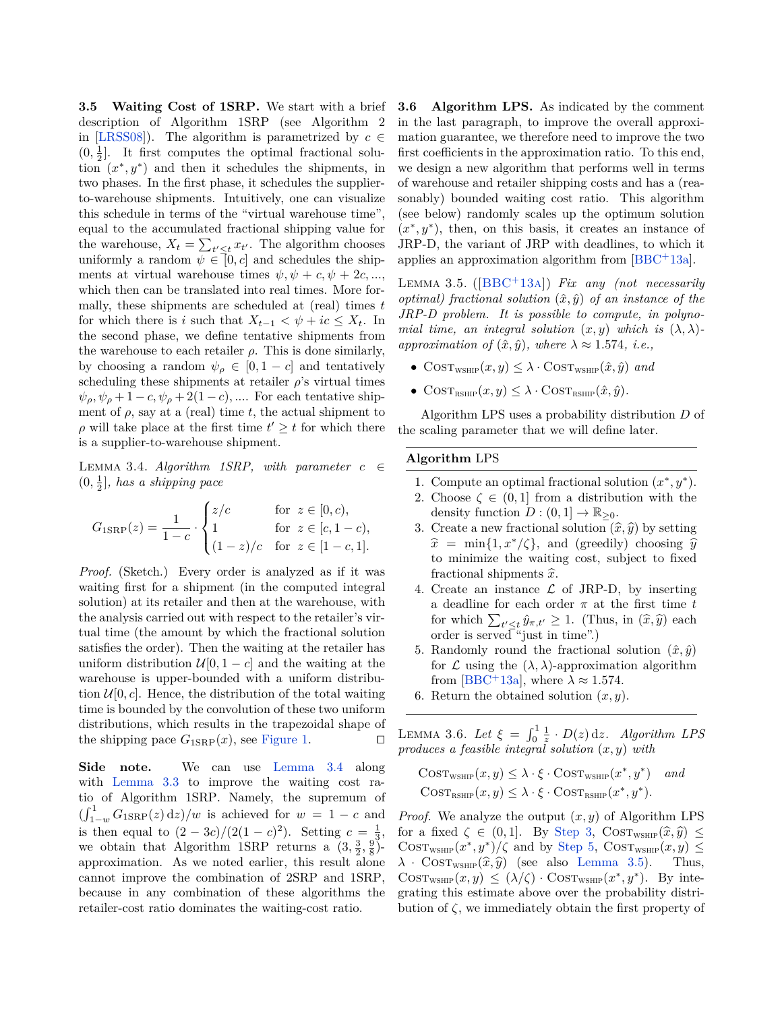**3.5 Waiting Cost of 1SRP.** We start with a brief description of Algorithm 1SRP (see Algorithm 2 in [\[LRSS08\]](#page-12-6)). The algorithm is parametrized by  $c \in$  $(0, \frac{1}{2}]$ . It first computes the optimal fractional solution  $(x^*, y^*)$  and then it schedules the shipments, in two phases. In the first phase, it schedules the supplierto-warehouse shipments. Intuitively, one can visualize this schedule in terms of the "virtual warehouse time", equal to the accumulated fractional shipping value for the warehouse,  $X_t = \sum_{t' \leq t} x_{t'}$ . The algorithm chooses uniformly a random  $\psi \in [0, c]$  and schedules the shipments at virtual warehouse times  $\psi, \psi + c, \psi + 2c, \dots$ which then can be translated into real times. More formally, these shipments are scheduled at (real) times *t* for which there is *i* such that  $X_{t-1} < \psi + ic \leq X_t$ . In the second phase, we define tentative shipments from the warehouse to each retailer  $\rho$ . This is done similarly, by choosing a random  $\psi_{\rho} \in [0, 1-c]$  and tentatively scheduling these shipments at retailer  $\rho$ 's virtual times  $\psi_{\rho}, \psi_{\rho} + 1 - c, \psi_{\rho} + 2(1 - c), \dots$  For each tentative shipment of  $\rho$ , say at a (real) time  $t$ , the actual shipment to  $\rho$  will take place at the first time  $t' \geq t$  for which there is a supplier-to-warehouse shipment.

<span id="page-4-0"></span>LEMMA 3.4. *Algorithm 1SRP, with parameter*  $c \in$  $(0, \frac{1}{2}]$ , has a shipping pace

$$
G_{1\text{SRP}}(z) = \frac{1}{1-c} \cdot \begin{cases} z/c & \text{for } z \in [0, c), \\ 1 & \text{for } z \in [c, 1-c), \\ (1-z)/c & \text{for } z \in [1-c, 1]. \end{cases}
$$

*Proof.* (Sketch.) Every order is analyzed as if it was waiting first for a shipment (in the computed integral solution) at its retailer and then at the warehouse, with the analysis carried out with respect to the retailer's virtual time (the amount by which the fractional solution satisfies the order). Then the waiting at the retailer has uniform distribution  $\mathcal{U}[0, 1-c]$  and the waiting at the warehouse is upper-bounded with a uniform distribution  $\mathcal{U}[0, c]$ . Hence, the distribution of the total waiting time is bounded by the convolution of these two uniform distributions, which results in the trapezoidal shape of the shipping pace  $G_{1\text{SRP}}(x)$ , see [Figure 1.](#page-5-0)  $\square$ 

**Side note.** We can use [Lemma 3.4](#page-4-0) along with [Lemma 3.3](#page-3-1) to improve the waiting cost ratio of Algorithm 1SRP. Namely, the supremum of  $\left(\int_{1-w}^{1} G_{1\text{SRP}}(z) dz\right)/w$  is achieved for  $w = 1 - c$  and is then equal to  $(2 - 3c)/(2(1 - c)^2)$ . Setting  $c = \frac{1}{3}$ , we obtain that Algorithm 1SRP returns a  $(3, \frac{3}{2}, \frac{9}{8})$ approximation. As we noted earlier, this result alone cannot improve the combination of 2SRP and 1SRP, because in any combination of these algorithms the retailer-cost ratio dominates the waiting-cost ratio.

**3.6 Algorithm LPS.** As indicated by the comment in the last paragraph, to improve the overall approximation guarantee, we therefore need to improve the two first coefficients in the approximation ratio. To this end, we design a new algorithm that performs well in terms of warehouse and retailer shipping costs and has a (reasonably) bounded waiting cost ratio. This algorithm (see below) randomly scales up the optimum solution  $(x^*, y^*)$ , then, on this basis, it creates an instance of JRP-D, the variant of JRP with deadlines, to which it applies an approximation algorithm from [\[BBC](#page-11-2)<sup>+</sup>13a].

<span id="page-4-3"></span>Lemma 3.5. ([\[BBC](#page-11-2)+13a]) *Fix any (not necessarily optimal)* fractional solution  $(\hat{x}, \hat{y})$  of an instance of the *JRP-D problem. It is possible to compute, in polynomial time, an integral solution*  $(x, y)$  *which is*  $(\lambda, \lambda)$ *approximation of*  $(\hat{x}, \hat{y})$ *, where*  $\lambda \approx 1.574$ *, i.e.,* 

- $\text{COST}_{\text{WSHP}}(x, y) \leq \lambda \cdot \text{COST}_{\text{WSHP}}(\hat{x}, \hat{y})$  *and*
- $\text{COST}_{\text{RSHIP}}(x, y) \leq \lambda \cdot \text{COST}_{\text{RSHIP}}(\hat{x}, \hat{y}).$

Algorithm LPS uses a probability distribution *D* of the scaling parameter that we will define later.

#### **Algorithm** LPS

- 1. Compute an optimal fractional solution  $(x^*, y^*)$ .
- 2. Choose  $\zeta \in (0,1]$  from a distribution with the density function  $D : (0,1] \to \mathbb{R}_{\geq 0}$ .
- <span id="page-4-1"></span>3. Create a new fractional solution  $(\hat{x}, \hat{y})$  by setting  $\hat{x} = \min\{1, x^*/\zeta\}$ , and (greedily) choosing  $\hat{y}$ to minimize the waiting cost, subject to fixed fractional shipments  $\hat{x}$ .
- 4. Create an instance  $\mathcal L$  of JRP-D, by inserting a deadline for each order  $\pi$  at the first time  $t$ for which  $\sum_{t' \leq t} \hat{y}_{\pi,t'} \geq 1$ . (Thus, in  $(\hat{x}, \hat{y})$  each order is served "just in time") order is served "just in time".)
- <span id="page-4-2"></span>5. Randomly round the fractional solution  $(\hat{x}, \hat{y})$ for  $\mathcal L$  using the  $(\lambda, \lambda)$ -approximation algorithm from [\[BBC](#page-11-2)<sup>+</sup>13a], where  $\lambda \approx 1.574$ .
- 6. Return the obtained solution (*x, y*).

<span id="page-4-4"></span>LEMMA 3.6. Let  $\xi = \int_0^1 \frac{1}{z} \cdot D(z) dz$ . Algorithm LPS *produces a feasible integral solution* (*x, y*) *with*

$$
Cos_{\text{TwsHP}}(x, y) \le \lambda \cdot \xi \cdot \text{Cos}_{\text{TwsHP}}(x^*, y^*) \quad \text{and} \quad
$$

$$
\text{Cos}_{\text{TasHP}}(x, y) \le \lambda \cdot \xi \cdot \text{Cos}_{\text{TasHP}}(x^*, y^*).
$$

*Proof.* We analyze the output (*x, y*) of Algorithm LPS for a fixed  $\zeta \in (0,1]$ . By [Step 3,](#page-4-1) COST<sub>WSHIP</sub> $(\hat{x}, \hat{y}) \leq$  $\text{COST}_{\text{WSHP}}(x^*, y^*)/\zeta$  and by [Step 5,](#page-4-2)  $\text{COST}_{\text{WSHP}}(x, y) \leq$  $\lambda$  · COST<sub>WSHIP</sub> $(\hat{x}, \hat{y})$  (see also [Lemma 3.5\)](#page-4-3). Thus,  $\text{COST}_{\text{WSHP}}(x, y) \leq (\lambda/\zeta) \cdot \text{COST}_{\text{WSHP}}(x^*, y^*)$ . By integrating this estimate above over the probability distribution of  $\zeta$ , we immediately obtain the first property of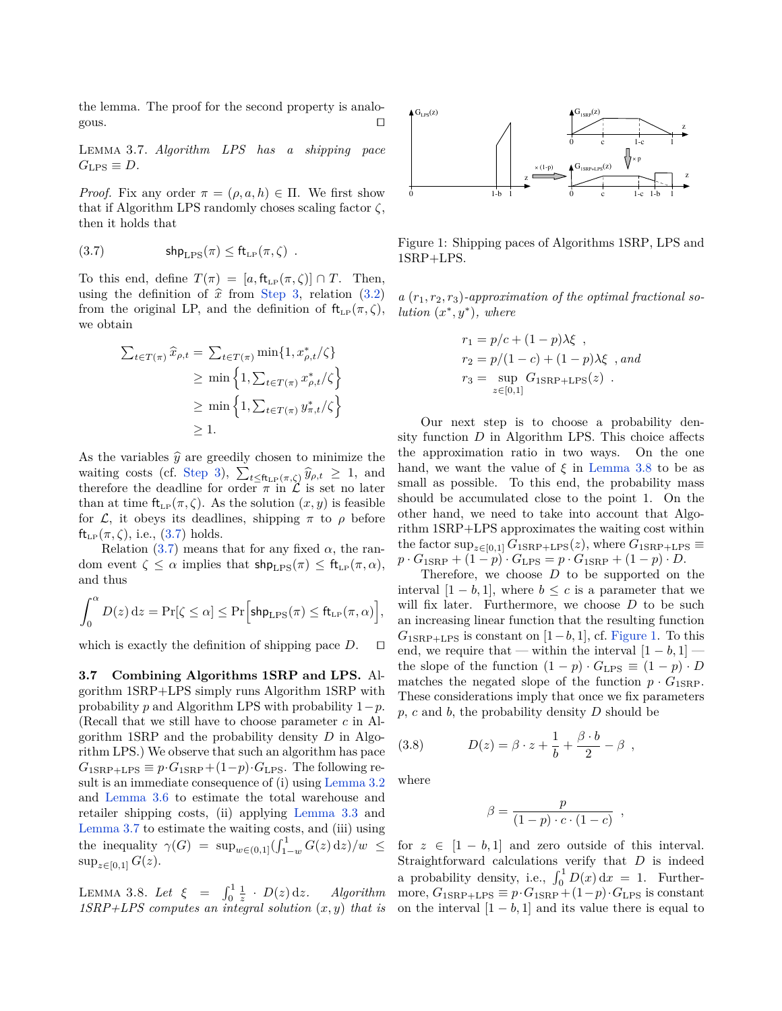the lemma. The proof for the second property is analogous.  $\Box$ 

<span id="page-5-2"></span>Lemma 3.7. *Algorithm LPS has a shipping pace*  $G<sub>LPS</sub> \equiv D$ *.* 

<span id="page-5-1"></span>*Proof.* Fix any order  $\pi = (\rho, a, h) \in \Pi$ . We first show that if Algorithm LPS randomly choses scaling factor *ζ*, then it holds that

(3.7) 
$$
\mathsf{shp}_{\text{LPS}}(\pi) \leq \mathsf{ft}_{\text{LP}}(\pi, \zeta) .
$$

To this end, define  $T(\pi) = [a, \text{ft}_{LP}(\pi, \zeta)] \cap T$ . Then, using the definition of  $\hat{x}$  from [Step 3,](#page-4-1) relation [\(3.2\)](#page-2-0) from the original LP, and the definition of  $ft_{LP}(\pi, \zeta)$ , we obtain

$$
\sum_{t \in T(\pi)} \widehat{x}_{\rho,t} = \sum_{t \in T(\pi)} \min\{1, x_{\rho,t}^*/\zeta\}
$$
  
\n
$$
\geq \min\left\{1, \sum_{t \in T(\pi)} x_{\rho,t}^*/\zeta\right\}
$$
  
\n
$$
\geq \min\left\{1, \sum_{t \in T(\pi)} y_{\pi,t}^*/\zeta\right\}
$$
  
\n
$$
\geq 1.
$$

As the variables  $\hat{y}$  are greedily chosen to minimize the waiting costs (cf. [Step 3\)](#page-4-1),  $\sum_{t \leq \text{ft}_{\text{LP}}(\pi,\zeta)} \hat{y}_{\rho,t} \geq 1$ , and therefore the deadline for order *π* in  $\mathcal L$  is set no later than at time  $\text{ft}_{\text{LP}}(\pi, \zeta)$ . As the solution  $(x, y)$  is feasible for  $\mathcal{L}$ , it obeys its deadlines, shipping  $\pi$  to  $\rho$  before  $ft_{LP}(\pi,\zeta)$ , i.e.,  $(3.7)$  holds.

Relation [\(3.7\)](#page-5-1) means that for any fixed  $\alpha$ , the random event  $\zeta \leq \alpha$  implies that  $\text{shp}_{\text{LPS}}(\pi) \leq \text{ft}_{\text{LP}}(\pi, \alpha)$ , and thus

$$
\int_0^{\alpha} D(z) dz = \Pr[\zeta \le \alpha] \le \Pr\Big[\text{shp}_{\text{LPS}}(\pi) \le \text{ft}_{\text{LP}}(\pi, \alpha)\Big],
$$

which is exactly the definition of shipping pace  $D$ .  $\square$ 

**3.7 Combining Algorithms 1SRP and LPS.** Algorithm 1SRP+LPS simply runs Algorithm 1SRP with probability *p* and Algorithm LPS with probability 1−*p*. (Recall that we still have to choose parameter *c* in Algorithm 1SRP and the probability density *D* in Algorithm LPS.) We observe that such an algorithm has pace  $G_{1SRP+LPS} \equiv p \cdot G_{1SRP} + (1-p) \cdot G_{LPS}$ . The following result is an immediate consequence of (i) using [Lemma 3.2](#page-2-2) and [Lemma 3.6](#page-4-4) to estimate the total warehouse and retailer shipping costs, (ii) applying [Lemma 3.3](#page-3-1) and [Lemma 3.7](#page-5-2) to estimate the waiting costs, and (iii) using the inequality  $\gamma(G) = \sup_{w \in (0,1]} (\int_{1-w}^1 G(z) \,dz)/w \le$  $\sup_{z \in [0,1]} G(z).$ 

<span id="page-5-3"></span>LEMMA 3.8. Let  $\xi = \int_0^1 \frac{1}{z} \cdot D(z) dz$ . Algorithm *1SRP+LPS computes an integral solution* (*x, y*) *that is*



<span id="page-5-0"></span>Figure 1: Shipping paces of Algorithms 1SRP, LPS and 1SRP+LPS.

 $a(r_1, r_2, r_3)$ -approximation of the optimal fractional so*lution*  $(x^*, y^*)$ *, where* 

$$
r_1 = p/c + (1 - p)\lambda\xi,
$$
  
\n
$$
r_2 = p/(1 - c) + (1 - p)\lambda\xi,
$$
 and  
\n
$$
r_3 = \sup_{z \in [0,1]} G_{1SRP+LPS}(z).
$$

Our next step is to choose a probability density function *D* in Algorithm LPS. This choice affects the approximation ratio in two ways. On the one hand, we want the value of  $\xi$  in [Lemma 3.8](#page-5-3) to be as small as possible. To this end, the probability mass should be accumulated close to the point 1. On the other hand, we need to take into account that Algorithm 1SRP+LPS approximates the waiting cost within the factor  $\sup_{z \in [0,1]} G_{1\text{SRP+LPS}}(z)$ , where  $G_{1\text{SRP+LPS}} \equiv$  $p \cdot G_{1SRP} + (1-p) \cdot G_{LPS} = p \cdot G_{1SRP} + (1-p) \cdot D$ .

Therefore, we choose *D* to be supported on the interval  $[1 - b, 1]$ , where  $b \leq c$  is a parameter that we will fix later. Furthermore, we choose *D* to be such an increasing linear function that the resulting function  $G_{1SRP+LPS}$  is constant on [1−*b,* 1], cf. [Figure 1.](#page-5-0) To this end, we require that — within the interval  $[1 - b, 1]$  the slope of the function  $(1 - p) \cdot G_{LPS} \equiv (1 - p) \cdot D$ matches the negated slope of the function  $p \cdot G_{1\text{SRP}}$ . These considerations imply that once we fix parameters *p*, *c* and *b*, the probability density *D* should be

(3.8) 
$$
D(z) = \beta \cdot z + \frac{1}{b} + \frac{\beta \cdot b}{2} - \beta ,
$$

where

$$
\beta = \frac{p}{(1-p)\cdot c\cdot (1-c)} ,
$$

for  $z \in [1 - b, 1]$  and zero outside of this interval. Straightforward calculations verify that *D* is indeed a probability density, i.e.,  $\int_0^1 D(x) dx = 1$ . Furthermore,  $G_{1SRP+LPS} \equiv p \cdot G_{1SRP} + (1-p) \cdot G_{LPS}$  is constant on the interval  $[1 - b, 1]$  and its value there is equal to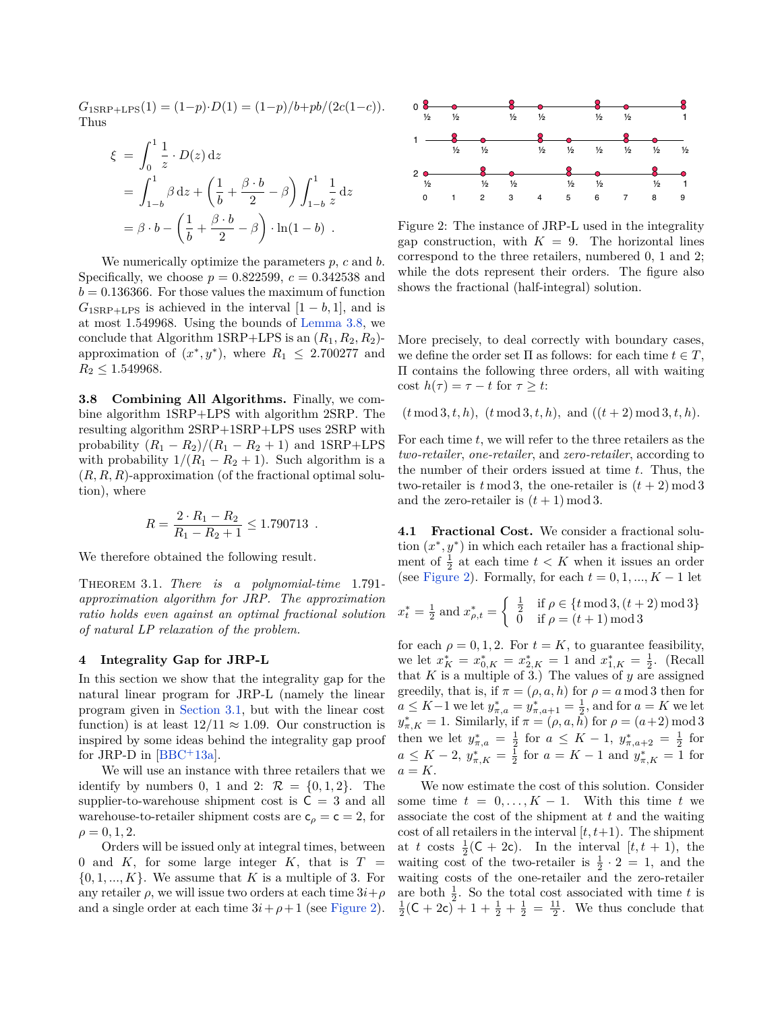$G_{1SRP+LPS}(1) = (1-p) \cdot D(1) = (1-p)/b + pb/(2c(1-c)).$ Thus

$$
\xi = \int_0^1 \frac{1}{z} \cdot D(z) dz
$$
  
=  $\int_{1-b}^1 \beta dz + \left(\frac{1}{b} + \frac{\beta \cdot b}{2} - \beta\right) \int_{1-b}^1 \frac{1}{z} dz$   
=  $\beta \cdot b - \left(\frac{1}{b} + \frac{\beta \cdot b}{2} - \beta\right) \cdot \ln(1-b)$ .

We numerically optimize the parameters *p*, *c* and *b*. Specifically, we choose  $p = 0.822599$ ,  $c = 0.342538$  and  $b = 0.136366$ . For those values the maximum of function  $G_{1SRP+LPS}$  is achieved in the interval  $[1 - b, 1]$ , and is at most 1*.*549968. Using the bounds of [Lemma 3.8,](#page-5-3) we conclude that Algorithm  $1SRP+LPS$  is an  $(R_1, R_2, R_2)$ approximation of  $(x^*, y^*)$ , where  $R_1 \leq 2.700277$  and  $R_2 \leq 1.549968.$ 

**3.8 Combining All Algorithms.** Finally, we combine algorithm 1SRP+LPS with algorithm 2SRP. The resulting algorithm 2SRP+1SRP+LPS uses 2SRP with probability  $(R_1 - R_2)/(R_1 - R_2 + 1)$  and 1SRP+LPS with probability  $1/(R_1 - R_2 + 1)$ . Such algorithm is a (*R, R, R*)-approximation (of the fractional optimal solution), where

$$
R = \frac{2 \cdot R_1 - R_2}{R_1 - R_2 + 1} \le 1.790713.
$$

We therefore obtained the following result.

Theorem 3.1. *There is a polynomial-time* 1*.*791 *approximation algorithm for JRP. The approximation ratio holds even against an optimal fractional solution of natural LP relaxation of the problem.*

#### **4 Integrality Gap for JRP-L**

In this section we show that the integrality gap for the natural linear program for JRP-L (namely the linear program given in [Section 3.1,](#page-2-3) but with the linear cost function) is at least  $12/11 \approx 1.09$ . Our construction is inspired by some ideas behind the integrality gap proof for JRP-D in  $[BBC + 13a]$  $[BBC + 13a]$ .

We will use an instance with three retailers that we identify by numbers 0, 1 and 2:  $\mathcal{R} = \{0, 1, 2\}$ . The supplier-to-warehouse shipment cost is  $C = 3$  and all warehouse-to-retailer shipment costs are  $c_\rho = c = 2$ , for  $\rho = 0, 1, 2.$ 

Orders will be issued only at integral times, between 0 and  $K$ , for some large integer  $K$ , that is  $T =$  $\{0, 1, \ldots, K\}$ . We assume that *K* is a multiple of 3. For any retailer  $\rho$ , we will issue two orders at each time  $3i+\rho$ and a single order at each time  $3i + \rho + 1$  (see [Figure 2\)](#page-6-0).



<span id="page-6-0"></span>Figure 2: The instance of JRP-L used in the integrality gap construction, with  $K = 9$ . The horizontal lines correspond to the three retailers, numbered 0, 1 and 2; while the dots represent their orders. The figure also shows the fractional (half-integral) solution.

More precisely, to deal correctly with boundary cases, we define the order set  $\Pi$  as follows: for each time  $t \in T$ , Π contains the following three orders, all with waiting cost  $h(\tau) = \tau - t$  for  $\tau \geq t$ :

 $(t \mod 3, t, h), (t \mod 3, t, h), \text{ and } ((t + 2) \mod 3, t, h).$ 

For each time *t*, we will refer to the three retailers as the *two-retailer*, *one-retailer*, and *zero-retailer*, according to the number of their orders issued at time *t*. Thus, the two-retailer is  $t \mod 3$ , the one-retailer is  $(t + 2) \mod 3$ and the zero-retailer is  $(t + 1) \mod 3$ .

**4.1 Fractional Cost.** We consider a fractional solution  $(x^*, y^*)$  in which each retailer has a fractional shipment of  $\frac{1}{2}$  at each time  $t < K$  when it issues an order (see [Figure 2\)](#page-6-0). Formally, for each  $t = 0, 1, ..., K - 1$  let

$$
x_t^* = \frac{1}{2} \text{ and } x_{\rho,t}^* = \begin{cases} \frac{1}{2} & \text{if } \rho \in \{t \mod 3, (t+2) \mod 3\} \\ 0 & \text{if } \rho = (t+1) \mod 3 \end{cases}
$$

for each  $\rho = 0, 1, 2$ . For  $t = K$ , to guarantee feasibility, we let  $x_K^* = x_{0,K}^* = x_{2,K}^* = 1$  and  $x_{1,K}^* = \frac{1}{2}$ . (Recall that  $K$  is a multiple of 3.) The values of  $y$  are assigned greedily, that is, if  $\pi = (\rho, a, h)$  for  $\rho = a \mod 3$  then for *a* ≤ *K*−1 we let  $y_{\pi,a}^* = y_{\pi,a+1}^* = \frac{1}{2}$ , and for *a* = *K* we let *y*<sup>\*</sup><sub>π,*K*</sub> = 1. Similarly, if  $π = (ρ, a, h)$  for  $ρ = (a+2) \mod 3$ then we let  $y^*_{\pi,a} = \frac{1}{2}$  for  $a \leq K - 1$ ,  $y^*_{\pi,a+2} = \frac{1}{2}$  for  $a \leq K - 2$ ,  $y_{\pi,K}^* = \frac{1}{2}$  for  $a = K - 1$  and  $y_{\pi,K}^* = 1$  for  $a = K$ .

We now estimate the cost of this solution. Consider some time  $t = 0, \ldots, K - 1$ . With this time  $t$  we associate the cost of the shipment at *t* and the waiting cost of all retailers in the interval [*t, t*+1). The shipment at *t* costs  $\frac{1}{2}(\mathsf{C} + 2\mathsf{c})$ . In the interval  $[t, t + 1)$ , the waiting cost of the two-retailer is  $\frac{1}{2} \cdot 2 = 1$ , and the waiting costs of the one-retailer and the zero-retailer are both  $\frac{1}{2}$ . So the total cost associated with time *t* is  $\frac{1}{2}$ (**C** + 2**c**) + 1 +  $\frac{1}{2}$  +  $\frac{1}{2}$  =  $\frac{11}{2}$ . We thus conclude that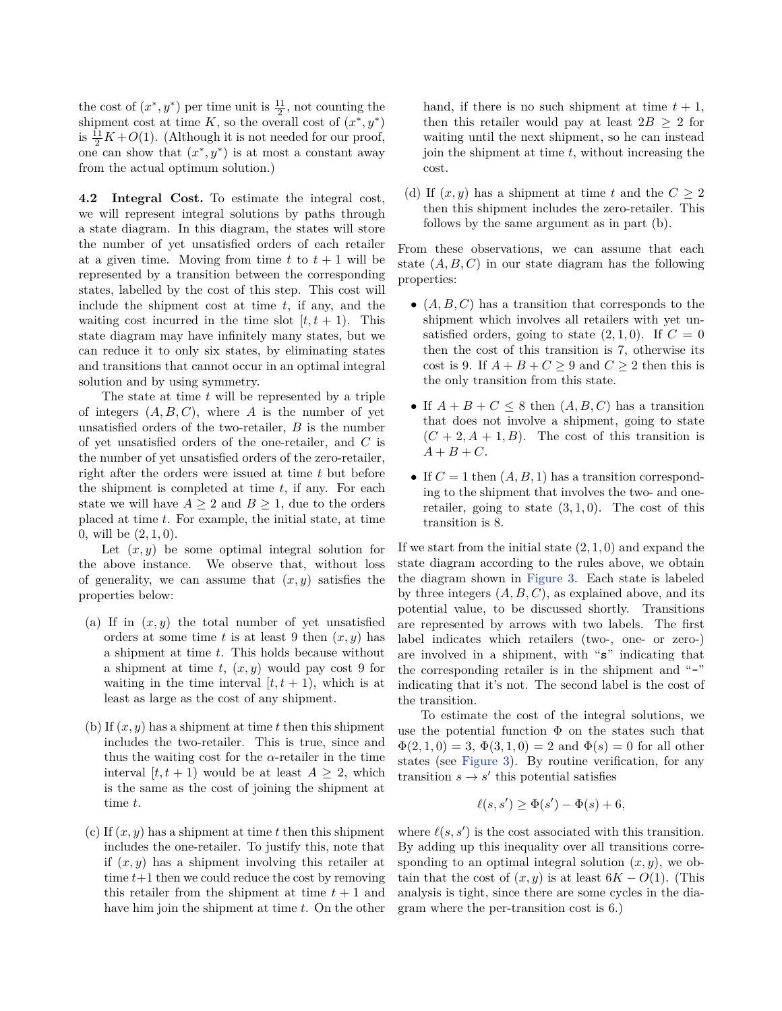the cost of  $(x^*, y^*)$  per time unit is  $\frac{11}{2}$ , not counting the shipment cost at time  $K$ , so the overall cost of  $(x^*, y^*)$ is  $\frac{11}{2}K + O(1)$ . (Although it is not needed for our proof, one can show that  $(x^*, y^*)$  is at most a constant away from the actual optimum solution.)

**4.2 Integral Cost.** To estimate the integral cost, we will represent integral solutions by paths through a state diagram. In this diagram, the states will store the number of yet unsatisfied orders of each retailer at a given time. Moving from time  $t$  to  $t + 1$  will be represented by a transition between the corresponding states, labelled by the cost of this step. This cost will include the shipment cost at time *t*, if any, and the waiting cost incurred in the time slot  $[t, t + 1)$ . This state diagram may have infinitely many states, but we can reduce it to only six states, by eliminating states and transitions that cannot occur in an optimal integral solution and by using symmetry.

The state at time *t* will be represented by a triple of integers  $(A, B, C)$ , where *A* is the number of yet unsatisfied orders of the two-retailer, *B* is the number of yet unsatisfied orders of the one-retailer, and *C* is the number of yet unsatisfied orders of the zero-retailer, right after the orders were issued at time *t* but before the shipment is completed at time *t*, if any. For each state we will have  $A \geq 2$  and  $B \geq 1$ , due to the orders placed at time *t*. For example, the initial state, at time 0, will be (2*,* 1*,* 0).

Let  $(x, y)$  be some optimal integral solution for the above instance. We observe that, without loss of generality, we can assume that  $(x, y)$  satisfies the properties below:

- (a) If in  $(x, y)$  the total number of yet unsatisfied orders at some time  $t$  is at least 9 then  $(x, y)$  has a shipment at time *t*. This holds because without a shipment at time *t*, (*x, y*) would pay cost 9 for waiting in the time interval  $[t, t + 1)$ , which is at least as large as the cost of any shipment.
- (b) If (*x, y*) has a shipment at time *t* then this shipment includes the two-retailer. This is true, since and thus the waiting cost for the  $\alpha$ -retailer in the time interval  $[t, t + 1)$  would be at least  $A \geq 2$ , which is the same as the cost of joining the shipment at time *t*.
- (c) If (*x, y*) has a shipment at time *t* then this shipment includes the one-retailer. To justify this, note that if  $(x, y)$  has a shipment involving this retailer at time  $t+1$  then we could reduce the cost by removing this retailer from the shipment at time  $t + 1$  and have him join the shipment at time *t*. On the other

hand, if there is no such shipment at time  $t + 1$ , then this retailer would pay at least  $2B > 2$  for waiting until the next shipment, so he can instead join the shipment at time *t*, without increasing the cost.

(d) If  $(x, y)$  has a shipment at time t and the  $C \geq 2$ then this shipment includes the zero-retailer. This follows by the same argument as in part (b).

From these observations, we can assume that each state  $(A, B, C)$  in our state diagram has the following properties:

- $\bullet$   $(A, B, C)$  has a transition that corresponds to the shipment which involves all retailers with yet unsatisfied orders, going to state  $(2, 1, 0)$ . If  $C = 0$ then the cost of this transition is 7, otherwise its cost is 9. If  $A + B + C \ge 9$  and  $C \ge 2$  then this is the only transition from this state.
- If  $A + B + C \leq 8$  then  $(A, B, C)$  has a transition that does not involve a shipment, going to state  $(C + 2, A + 1, B)$ . The cost of this transition is  $A + B + C$ .
- If  $C = 1$  then  $(A, B, 1)$  has a transition corresponding to the shipment that involves the two- and oneretailer, going to state  $(3, 1, 0)$ . The cost of this transition is 8.

If we start from the initial state (2*,* 1*,* 0) and expand the state diagram according to the rules above, we obtain the diagram shown in [Figure 3.](#page-8-0) Each state is labeled by three integers (*A, B, C*), as explained above, and its potential value, to be discussed shortly. Transitions are represented by arrows with two labels. The first label indicates which retailers (two-, one- or zero-) are involved in a shipment, with "s" indicating that the corresponding retailer is in the shipment and "-" indicating that it's not. The second label is the cost of the transition.

To estimate the cost of the integral solutions, we use the potential function  $\Phi$  on the states such that  $\Phi(2,1,0) = 3, \Phi(3,1,0) = 2$  and  $\Phi(s) = 0$  for all other states (see [Figure 3\)](#page-8-0). By routine verification, for any transition  $s \to s'$  this potential satisfies

$$
\ell(s, s') \ge \Phi(s') - \Phi(s) + 6,
$$

where  $\ell(s, s')$  is the cost associated with this transition. By adding up this inequality over all transitions corresponding to an optimal integral solution  $(x, y)$ , we obtain that the cost of  $(x, y)$  is at least  $6K - O(1)$ . (This analysis is tight, since there are some cycles in the diagram where the per-transition cost is 6.)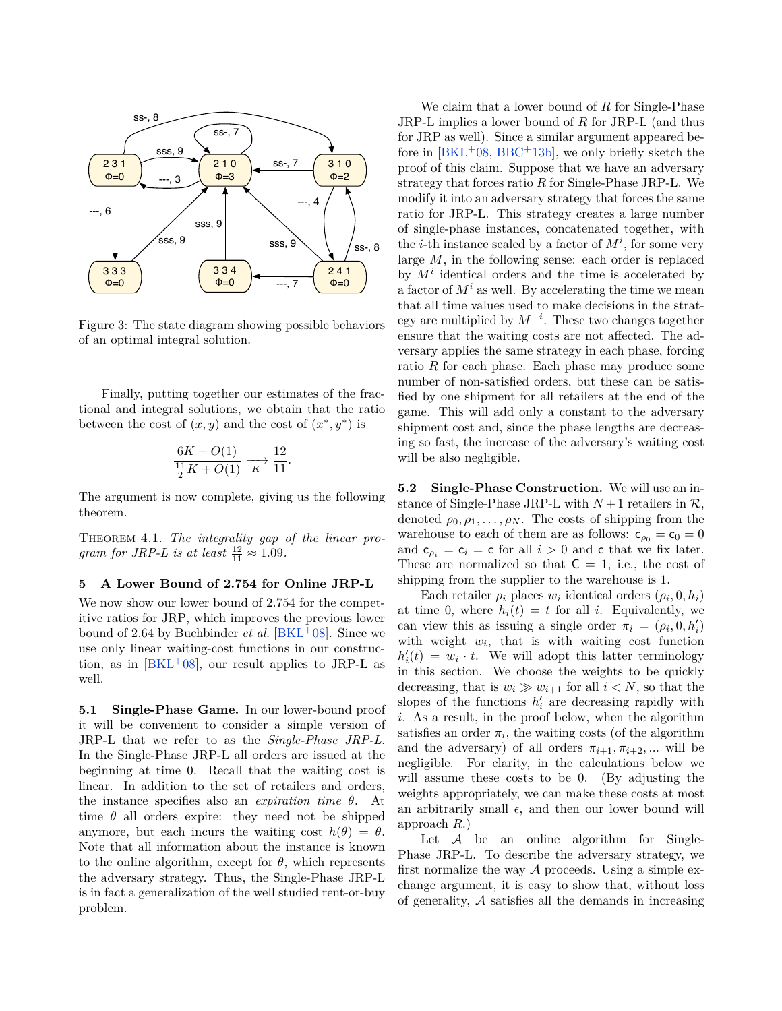

<span id="page-8-0"></span>Figure 3: The state diagram showing possible behaviors of an optimal integral solution.

Finally, putting together our estimates of the fractional and integral solutions, we obtain that the ratio between the cost of  $(x, y)$  and the cost of  $(x^*, y^*)$  is

$$
\frac{6K - O(1)}{\frac{11}{2}K + O(1)} \xrightarrow[K]{} \frac{12}{11}.
$$

The argument is now complete, giving us the following theorem.

Theorem 4.1. *The integrality gap of the linear program for JRP-L is at least*  $\frac{12}{11} \approx 1.09$ .

## <span id="page-8-1"></span>**5 A Lower Bound of 2.754 for Online JRP-L**

We now show our lower bound of 2*.*754 for the competitive ratios for JRP, which improves the previous lower bound of 2.64 by Buchbinder *et al.* [\[BKL](#page-12-0)<sup>+</sup>08]. Since we use only linear waiting-cost functions in our construction, as in  $[BKL+08]$  $[BKL+08]$ , our result applies to JRP-L as well.

**5.1 Single-Phase Game.** In our lower-bound proof it will be convenient to consider a simple version of JRP-L that we refer to as the *Single-Phase JRP-L*. In the Single-Phase JRP-L all orders are issued at the beginning at time 0. Recall that the waiting cost is linear. In addition to the set of retailers and orders, the instance specifies also an *expiration time θ*. At time  $\theta$  all orders expire: they need not be shipped anymore, but each incurs the waiting cost  $h(\theta) = \theta$ . Note that all information about the instance is known to the online algorithm, except for  $\theta$ , which represents the adversary strategy. Thus, the Single-Phase JRP-L is in fact a generalization of the well studied rent-or-buy problem.

We claim that a lower bound of *R* for Single-Phase JRP-L implies a lower bound of *R* for JRP-L (and thus for JRP as well). Since a similar argument appeared before in  $[BKL+08, BBC+13b]$  $[BKL+08, BBC+13b]$  $[BKL+08, BBC+13b]$  $[BKL+08, BBC+13b]$ , we only briefly sketch the proof of this claim. Suppose that we have an adversary strategy that forces ratio *R* for Single-Phase JRP-L. We modify it into an adversary strategy that forces the same ratio for JRP-L. This strategy creates a large number of single-phase instances, concatenated together, with the *i*-th instance scaled by a factor of  $M^i$ , for some very large *M*, in the following sense: each order is replaced by  $M^i$  identical orders and the time is accelerated by a factor of  $M^i$  as well. By accelerating the time we mean that all time values used to make decisions in the strategy are multiplied by *M*−*<sup>i</sup>* . These two changes together ensure that the waiting costs are not affected. The adversary applies the same strategy in each phase, forcing ratio *R* for each phase. Each phase may produce some number of non-satisfied orders, but these can be satisfied by one shipment for all retailers at the end of the game. This will add only a constant to the adversary shipment cost and, since the phase lengths are decreasing so fast, the increase of the adversary's waiting cost will be also negligible.

**5.2 Single-Phase Construction.** We will use an instance of Single-Phase JRP-L with  $N+1$  retailers in  $\mathcal{R}$ , denoted  $\rho_0, \rho_1, \ldots, \rho_N$ . The costs of shipping from the warehouse to each of them are as follows:  $c_{\rho_0} = c_0 = 0$ and  $c_{\rho_i} = c_i = c$  for all  $i > 0$  and c that we fix later. These are normalized so that  $C = 1$ , i.e., the cost of shipping from the supplier to the warehouse is 1.

Each retailer  $\rho_i$  places  $w_i$  identical orders  $(\rho_i, 0, h_i)$ at time 0, where  $h_i(t) = t$  for all *i*. Equivalently, we can view this as issuing a single order  $\pi_i = (\rho_i, 0, h'_i)$ with weight  $w_i$ , that is with waiting cost function  $h'_i(t) = w_i \cdot t$ . We will adopt this latter terminology in this section. We choose the weights to be quickly decreasing, that is  $w_i \gg w_{i+1}$  for all  $i < N$ , so that the slopes of the functions  $h'_i$  are decreasing rapidly with *i*. As a result, in the proof below, when the algorithm satisfies an order  $\pi_i$ , the waiting costs (of the algorithm and the adversary) of all orders  $\pi_{i+1}, \pi_{i+2}, ...$  will be negligible. For clarity, in the calculations below we will assume these costs to be 0. (By adjusting the weights appropriately, we can make these costs at most an arbitrarily small  $\epsilon$ , and then our lower bound will approach *R*.)

Let  $A$  be an online algorithm for Single-Phase JRP-L. To describe the adversary strategy, we first normalize the way  $A$  proceeds. Using a simple exchange argument, it is easy to show that, without loss of generality, A satisfies all the demands in increasing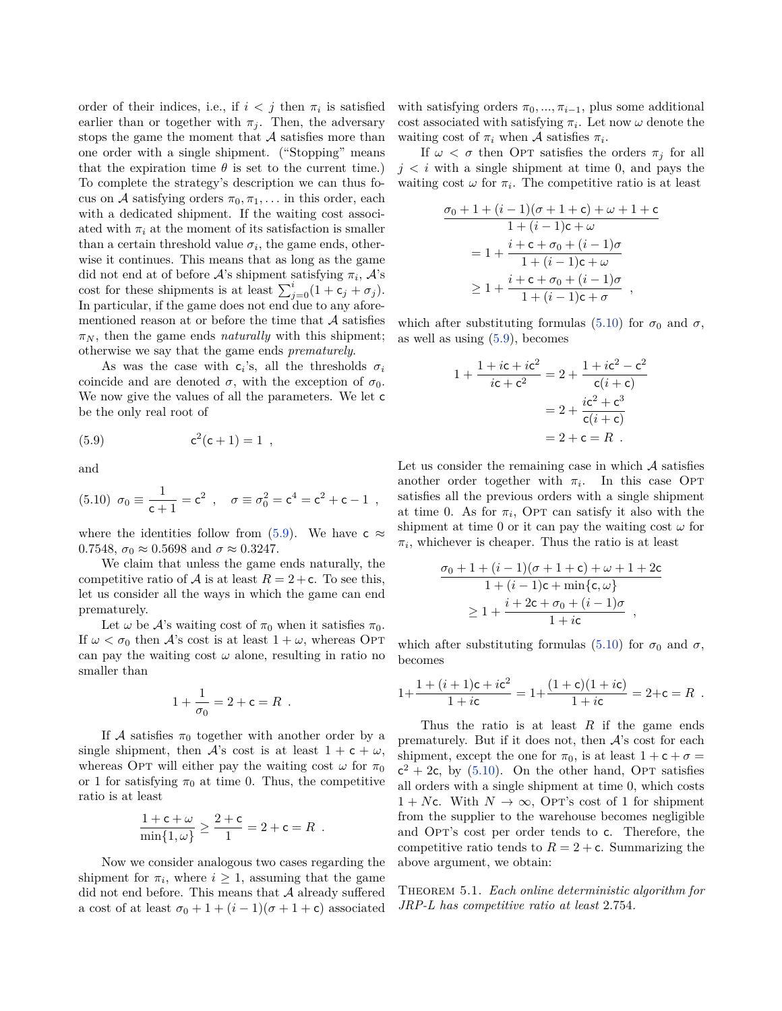order of their indices, i.e., if  $i < j$  then  $\pi_i$  is satisfied earlier than or together with  $\pi_j$ . Then, the adversary stops the game the moment that  $A$  satisfies more than one order with a single shipment. ("Stopping" means that the expiration time  $\theta$  is set to the current time.) To complete the strategy's description we can thus focus on A satisfying orders  $\pi_0, \pi_1, \ldots$  in this order, each with a dedicated shipment. If the waiting cost associated with  $\pi_i$  at the moment of its satisfaction is smaller than a certain threshold value  $\sigma_i$ , the game ends, otherwise it continues. This means that as long as the game did not end at of before  $A$ 's shipment satisfying  $\pi_i$ ,  $A$ 's cost for these shipments is at least  $\sum_{j=0}^{i} (1 + c_j + \sigma_j)$ . In particular, if the game does not end due to any aforementioned reason at or before the time that  $A$  satisfies  $\pi_N$ , then the game ends *naturally* with this shipment; otherwise we say that the game ends *prematurely*.

As was the case with  $c_i$ 's, all the thresholds  $\sigma_i$ coincide and are denoted  $\sigma$ , with the exception of  $\sigma_0$ . We now give the values of all the parameters. We let c be the only real root of

<span id="page-9-0"></span>(5.9) 
$$
c^2(c+1) = 1,
$$

<span id="page-9-1"></span>and

(5.10) 
$$
\sigma_0 \equiv \frac{1}{c+1} = c^2
$$
,  $\sigma \equiv \sigma_0^2 = c^4 = c^2 + c - 1$ ,

where the identities follow from [\(5.9\)](#page-9-0). We have  $c \approx$ 0.7548,  $\sigma_0 \approx 0.5698$  and  $\sigma \approx 0.3247$ .

We claim that unless the game ends naturally, the competitive ratio of A is at least  $R = 2 + c$ . To see this, let us consider all the ways in which the game can end prematurely.

Let  $\omega$  be  $\mathcal{A}$ 's waiting cost of  $\pi_0$  when it satisfies  $\pi_0$ . If  $\omega < \sigma_0$  then A's cost is at least  $1 + \omega$ , whereas OPT can pay the waiting cost  $\omega$  alone, resulting in ratio no smaller than

$$
1 + \frac{1}{\sigma_0} = 2 + c = R .
$$

If A satisfies  $\pi_0$  together with another order by a single shipment, then A's cost is at least  $1 + c + \omega$ , whereas OPT will either pay the waiting cost  $\omega$  for  $\pi_0$ or 1 for satisfying  $\pi_0$  at time 0. Thus, the competitive ratio is at least

$$
\frac{1+\mathsf{c}+\omega}{\min\{1,\omega\}} \ge \frac{2+\mathsf{c}}{1} = 2+\mathsf{c} = R.
$$

Now we consider analogous two cases regarding the shipment for  $\pi_i$ , where  $i \geq 1$ , assuming that the game did not end before. This means that  $A$  already suffered a cost of at least  $\sigma_0 + 1 + (i - 1)(\sigma + 1 + \mathsf{c})$  associated

with satisfying orders  $\pi_0, \ldots, \pi_{i-1}$ , plus some additional cost associated with satisfying  $\pi_i$ . Let now  $\omega$  denote the waiting cost of  $\pi_i$  when A satisfies  $\pi_i$ .

If  $\omega < \sigma$  then OPT satisfies the orders  $\pi_j$  for all  $j < i$  with a single shipment at time 0, and pays the waiting cost  $\omega$  for  $\pi_i$ . The competitive ratio is at least

$$
\frac{\sigma_0 + 1 + (i - 1)(\sigma + 1 + c) + \omega + 1 + c}{1 + (i - 1)c + \omega}
$$
\n
$$
= 1 + \frac{i + c + \sigma_0 + (i - 1)\sigma}{1 + (i - 1)c + \omega}
$$
\n
$$
\geq 1 + \frac{i + c + \sigma_0 + (i - 1)\sigma}{1 + (i - 1)c + \sigma} ,
$$

which after substituting formulas [\(5.10\)](#page-9-1) for  $\sigma_0$  and  $\sigma$ , as well as using [\(5.9\)](#page-9-0), becomes

$$
1 + \frac{1 + ic + ic^{2}}{ic + c^{2}} = 2 + \frac{1 + ic^{2} - c^{2}}{c(i + c)}
$$

$$
= 2 + \frac{ic^{2} + c^{3}}{c(i + c)}
$$

$$
= 2 + c = R.
$$

Let us consider the remaining case in which  $A$  satisfies another order together with  $\pi_i$ . In this case OPT satisfies all the previous orders with a single shipment at time 0. As for  $\pi_i$ , OPT can satisfy it also with the shipment at time 0 or it can pay the waiting cost  $\omega$  for  $\pi_i$ , whichever is cheaper. Thus the ratio is at least

$$
\frac{\sigma_0 + 1 + (i - 1)(\sigma + 1 + \mathsf{c}) + \omega + 1 + 2\mathsf{c}}{1 + (i - 1)\mathsf{c} + \min\{\mathsf{c}, \omega\}} \ge 1 + \frac{i + 2\mathsf{c} + \sigma_0 + (i - 1)\sigma}{1 + i\mathsf{c}},
$$

which after substituting formulas [\(5.10\)](#page-9-1) for  $\sigma_0$  and  $\sigma$ , becomes

$$
1 + \frac{1 + (i + 1)c + ic^{2}}{1 + ic} = 1 + \frac{(1 + c)(1 + ic)}{1 + ic} = 2 + c = R.
$$

Thus the ratio is at least *R* if the game ends prematurely. But if it does not, then  $A$ 's cost for each shipment, except the one for  $\pi_0$ , is at least  $1 + c + \sigma =$  $c^2 + 2c$ , by [\(5.10\)](#page-9-1). On the other hand, OPT satisfies all orders with a single shipment at time 0, which costs  $1 + Nc$ . With  $N \to \infty$ , Opt's cost of 1 for shipment from the supplier to the warehouse becomes negligible and OPT's cost per order tends to c. Therefore, the competitive ratio tends to  $R = 2 + c$ . Summarizing the above argument, we obtain:

Theorem 5.1. *Each online deterministic algorithm for JRP-L has competitive ratio at least* 2*.*754*.*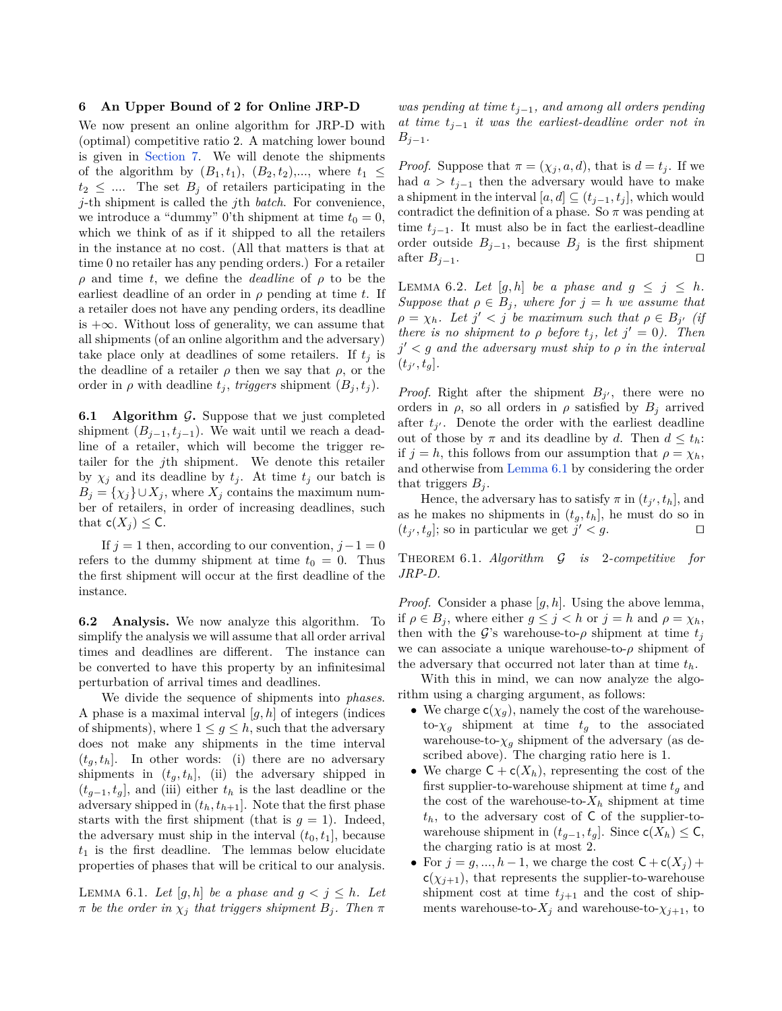#### **6 An Upper Bound of 2 for Online JRP-D**

We now present an online algorithm for JRP-D with (optimal) competitive ratio 2. A matching lower bound is given in [Section 7.](#page-11-3) We will denote the shipments of the algorithm by  $(B_1, t_1)$ ,  $(B_2, t_2)$ ,..., where  $t_1 \leq$  $t_2 \leq \dots$  The set  $B_j$  of retailers participating in the *j*-th shipment is called the *j*th *batch*. For convenience, we introduce a "dummy" 0'th shipment at time  $t_0 = 0$ , which we think of as if it shipped to all the retailers in the instance at no cost. (All that matters is that at time 0 no retailer has any pending orders.) For a retailer *ρ* and time *t*, we define the *deadline* of *ρ* to be the earliest deadline of an order in  $\rho$  pending at time  $t$ . If a retailer does not have any pending orders, its deadline is +∞. Without loss of generality, we can assume that all shipments (of an online algorithm and the adversary) take place only at deadlines of some retailers. If  $t_j$  is the deadline of a retailer  $\rho$  then we say that  $\rho$ , or the order in  $\rho$  with deadline  $t_j$ , *triggers* shipment  $(B_j, t_j)$ .

**6.1 Algorithm**  $\mathcal{G}$ **. Suppose that we just completed** shipment  $(B_{j-1}, t_{j-1})$ . We wait until we reach a deadline of a retailer, which will become the trigger retailer for the *j*th shipment. We denote this retailer by  $\chi_j$  and its deadline by  $t_j$ . At time  $t_j$  our batch is  $B_i = \{\chi_i\} \cup X_i$ , where  $X_i$  contains the maximum number of retailers, in order of increasing deadlines, such that  $c(X_i) \leq C$ .

If  $j = 1$  then, according to our convention,  $j - 1 = 0$ refers to the dummy shipment at time  $t_0 = 0$ . Thus the first shipment will occur at the first deadline of the instance.

**6.2 Analysis.** We now analyze this algorithm. To simplify the analysis we will assume that all order arrival times and deadlines are different. The instance can be converted to have this property by an infinitesimal perturbation of arrival times and deadlines.

We divide the sequence of shipments into *phases*. A phase is a maximal interval [*g, h*] of integers (indices of shipments), where  $1 \leq g \leq h$ , such that the adversary does not make any shipments in the time interval  $(t_q, t_h)$ . In other words: (i) there are no adversary shipments in  $(t_g, t_h]$ , (ii) the adversary shipped in  $(t_{g-1}, t_g]$ , and (iii) either  $t_h$  is the last deadline or the adversary shipped in  $(t_h, t_{h+1}]$ . Note that the first phase starts with the first shipment (that is  $g = 1$ ). Indeed, the adversary must ship in the interval  $(t_0, t_1]$ , because  $t_1$  is the first deadline. The lemmas below elucidate properties of phases that will be critical to our analysis.

<span id="page-10-0"></span>LEMMA 6.1. Let  $[g, h]$  be a phase and  $g < j \leq h$ . Let  $\pi$  *be the order in*  $\chi_j$  *that triggers shipment*  $B_j$ *. Then*  $\pi$ 

*was pending at time tj*−1*, and among all orders pending at time tj*−<sup>1</sup> *it was the earliest-deadline order not in Bj*−1*.*

*Proof.* Suppose that  $\pi = (\chi_j, a, d)$ , that is  $d = t_j$ . If we had  $a > t_{j-1}$  then the adversary would have to make a shipment in the interval  $[a, d] \subseteq (t_{i-1}, t_i]$ , which would contradict the definition of a phase. So  $\pi$  was pending at time  $t_{i-1}$ . It must also be in fact the earliest-deadline order outside  $B_{j-1}$ , because  $B_j$  is the first shipment after  $B_{j-1}$ .

LEMMA 6.2. Let  $[g,h]$  be a phase and  $g \leq j \leq h$ . *Suppose that*  $\rho \in B_i$ *, where for*  $j = h$  *we assume that*  $\rho = \chi_h$ *. Let*  $j' < j$  *be maximum such that*  $\rho \in B_{j'}$  *(if there is no shipment to*  $\rho$  *before*  $t_j$ *, let*  $j' = 0$ *). Then*  $j' < g$  *and the adversary must ship to*  $\rho$  *in the interval*  $(t_{j'}, t_g].$ 

*Proof.* Right after the shipment  $B_j$ , there were no orders in  $\rho$ , so all orders in  $\rho$  satisfied by  $B_j$  arrived after  $t_{j'}$ . Denote the order with the earliest deadline out of those by  $\pi$  and its deadline by *d*. Then  $d \leq t_h$ : if  $j = h$ , this follows from our assumption that  $\rho = \chi_h$ , and otherwise from [Lemma 6.1](#page-10-0) by considering the order that triggers  $B_i$ .

Hence, the adversary has to satisfy  $\pi$  in  $(t_{j'}, t_h]$ , and as he makes no shipments in  $(t_g, t_h]$ , he must do so in  $(t_{j'}, t_g]$ ; so in particular we get  $j' < g$ .

Theorem 6.1. *Algorithm* G *is* 2*-competitive for JRP-D.*

*Proof.* Consider a phase [*g, h*]. Using the above lemma, if  $\rho \in B_j$ , where either  $g \leq j < h$  or  $j = h$  and  $\rho = \chi_h$ , then with the G's warehouse-to- $\rho$  shipment at time  $t_j$ we can associate a unique warehouse-to-*ρ* shipment of the adversary that occurred not later than at time *th*.

With this in mind, we can now analyze the algorithm using a charging argument, as follows:

- We charge  $c(\chi_q)$ , namely the cost of the warehouseto- $\chi_g$  shipment at time  $t_g$  to the associated warehouse-to- $\chi_q$  shipment of the adversary (as described above). The charging ratio here is 1.
- We charge  $C + c(X_h)$ , representing the cost of the first supplier-to-warehouse shipment at time  $t_q$  and the cost of the warehouse-to- $X_h$  shipment at time *th*, to the adversary cost of C of the supplier-towarehouse shipment in  $(t_{g-1}, t_g]$ . Since  $c(X_h) \leq C$ , the charging ratio is at most 2.
- For  $j = g, ..., h 1$ , we charge the cost  $C + c(X_j)$  +  $c(\chi_{j+1})$ , that represents the supplier-to-warehouse shipment cost at time  $t_{j+1}$  and the cost of shipments warehouse-to- $X_j$  and warehouse-to- $\chi_{j+1}$ , to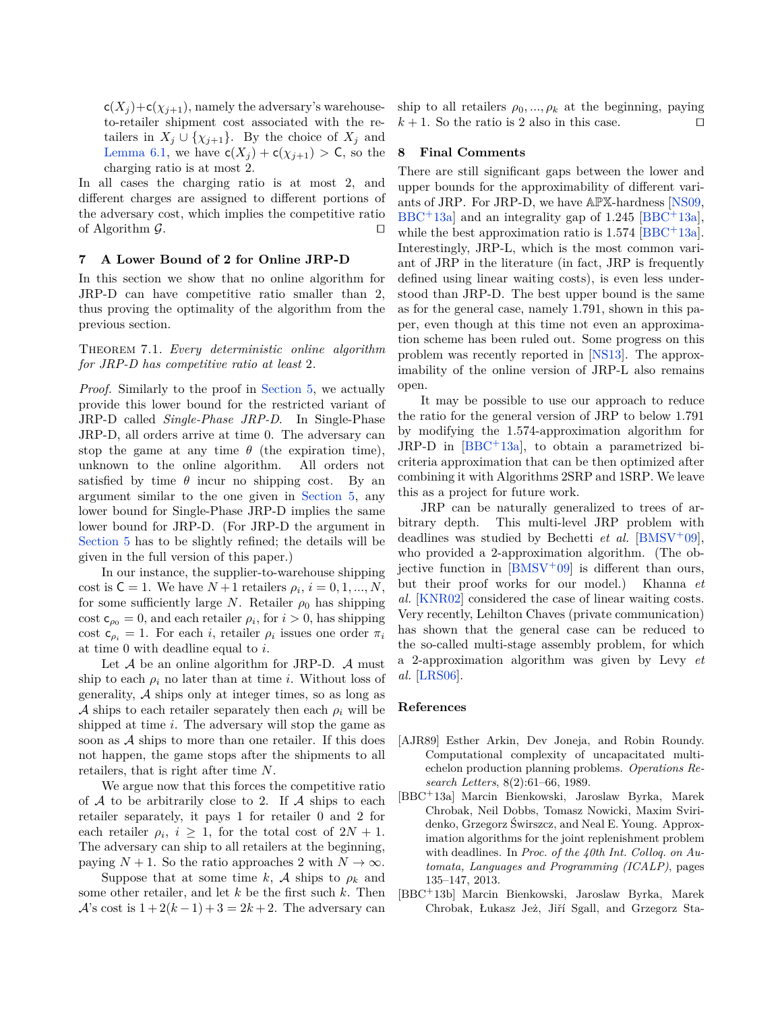$c(X_j)+c(X_{j+1}),$  namely the adversary's warehouseto-retailer shipment cost associated with the retailers in  $X_j \cup \{\chi_{j+1}\}.$  By the choice of  $X_j$  and [Lemma 6.1,](#page-10-0) we have  $c(X_j) + c(\chi_{j+1}) > C$ , so the charging ratio is at most 2.

In all cases the charging ratio is at most 2, and different charges are assigned to different portions of the adversary cost, which implies the competitive ratio of Algorithm  $\mathcal{G}$ .

### <span id="page-11-3"></span>**7 A Lower Bound of 2 for Online JRP-D**

In this section we show that no online algorithm for JRP-D can have competitive ratio smaller than 2, thus proving the optimality of the algorithm from the previous section.

Theorem 7.1. *Every deterministic online algorithm for JRP-D has competitive ratio at least* 2*.*

*Proof.* Similarly to the proof in [Section 5,](#page-8-1) we actually provide this lower bound for the restricted variant of JRP-D called *Single-Phase JRP-D*. In Single-Phase JRP-D, all orders arrive at time 0. The adversary can stop the game at any time  $\theta$  (the expiration time), unknown to the online algorithm. All orders not satisfied by time  $\theta$  incur no shipping cost. By an argument similar to the one given in [Section 5,](#page-8-1) any lower bound for Single-Phase JRP-D implies the same lower bound for JRP-D. (For JRP-D the argument in [Section 5](#page-8-1) has to be slightly refined; the details will be given in the full version of this paper.)

In our instance, the supplier-to-warehouse shipping cost is  $C = 1$ . We have  $N + 1$  retailers  $\rho_i$ ,  $i = 0, 1, ..., N$ , for some sufficiently large *N*. Retailer  $\rho_0$  has shipping cost  $c_{\rho_0} = 0$ , and each retailer  $\rho_i$ , for  $i > 0$ , has shipping cost  $c_{\rho_i} = 1$ . For each *i*, retailer  $\rho_i$  issues one order  $\pi_i$ at time 0 with deadline equal to *i*.

Let  $A$  be an online algorithm for JRP-D.  $A$  must ship to each  $\rho_i$  no later than at time *i*. Without loss of generality, A ships only at integer times, so as long as A ships to each retailer separately then each  $\rho_i$  will be shipped at time *i*. The adversary will stop the game as soon as  $\mathcal A$  ships to more than one retailer. If this does not happen, the game stops after the shipments to all retailers, that is right after time *N*.

We argue now that this forces the competitive ratio of  $A$  to be arbitrarily close to 2. If  $A$  ships to each retailer separately, it pays 1 for retailer 0 and 2 for each retailer  $\rho_i$ ,  $i \geq 1$ , for the total cost of  $2N + 1$ . The adversary can ship to all retailers at the beginning, paying  $N + 1$ . So the ratio approaches 2 with  $N \to \infty$ .

Suppose that at some time *k*, A ships to  $\rho_k$  and some other retailer, and let *k* be the first such *k*. Then A's cost is  $1+2(k-1)+3=2k+2$ . The adversary can ship to all retailers  $\rho_0, ..., \rho_k$  at the beginning, paying  $k+1$ . So the ratio is 2 also in this case.

# **8 Final Comments**

There are still significant gaps between the lower and upper bounds for the approximability of different variants of JRP. For JRP-D, we have APX-hardness [\[NS09,](#page-12-4) [BBC](#page-11-2)<sup>+</sup>13a] and an integrality gap of 1*.*245 [\[BBC](#page-11-2)<sup>+</sup>13a], while the best approximation ratio is  $1.574$  [\[BBC](#page-11-2)<sup>+</sup>13a]. Interestingly, JRP-L, which is the most common variant of JRP in the literature (in fact, JRP is frequently defined using linear waiting costs), is even less understood than JRP-D. The best upper bound is the same as for the general case, namely 1*.*791, shown in this paper, even though at this time not even an approximation scheme has been ruled out. Some progress on this problem was recently reported in [\[NS13\]](#page-12-9). The approximability of the online version of JRP-L also remains open.

It may be possible to use our approach to reduce the ratio for the general version of JRP to below 1*.*791 by modifying the 1*.*574-approximation algorithm for  $JRP-D$  in  $[BBC + 13a]$  $[BBC + 13a]$ , to obtain a parametrized bicriteria approximation that can be then optimized after combining it with Algorithms 2SRP and 1SRP. We leave this as a project for future work.

JRP can be naturally generalized to trees of arbitrary depth. This multi-level JRP problem with deadlines was studied by Bechetti *et al.* [\[BMSV](#page-12-1)<sup>+</sup>09], who provided a 2-approximation algorithm. (The objective function in  $[BMSV^+09]$  $[BMSV^+09]$  is different than ours, but their proof works for our model.) Khanna *et al.* [\[KNR02\]](#page-12-3) considered the case of linear waiting costs. Very recently, Lehilton Chaves (private communication) has shown that the general case can be reduced to the so-called multi-stage assembly problem, for which a 2-approximation algorithm was given by Levy *et al.* [\[LRS06\]](#page-12-5).

#### **References**

- <span id="page-11-1"></span>[AJR89] Esther Arkin, Dev Joneja, and Robin Roundy. Computational complexity of uncapacitated multiechelon production planning problems. *Operations Research Letters*, 8(2):61–66, 1989.
- <span id="page-11-2"></span>[BBC<sup>+</sup>13a] Marcin Bienkowski, Jaroslaw Byrka, Marek Chrobak, Neil Dobbs, Tomasz Nowicki, Maxim Sviridenko, Grzegorz Świrszcz, and Neal E. Young. Approximation algorithms for the joint replenishment problem with deadlines. In *Proc. of the 40th Int. Colloq. on Automata, Languages and Programming (ICALP)*, pages 135–147, 2013.
- <span id="page-11-0"></span>[BBC<sup>+</sup>13b] Marcin Bienkowski, Jaroslaw Byrka, Marek Chrobak, Łukasz Jeż, Jiří Sgall, and Grzegorz Sta-